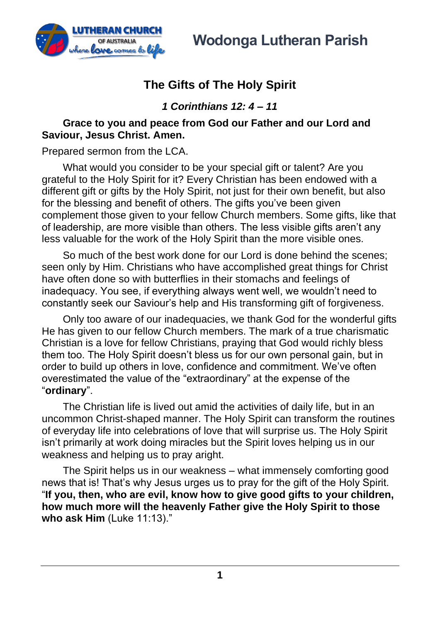

# **The Gifts of The Holy Spirit**

*1 Corinthians 12: 4 – 11*

### **Grace to you and peace from God our Father and our Lord and Saviour, Jesus Christ. Amen.**

Prepared sermon from the LCA.

What would you consider to be your special gift or talent? Are you grateful to the Holy Spirit for it? Every Christian has been endowed with a different gift or gifts by the Holy Spirit, not just for their own benefit, but also for the blessing and benefit of others. The gifts you've been given complement those given to your fellow Church members. Some gifts, like that of leadership, are more visible than others. The less visible gifts aren't any less valuable for the work of the Holy Spirit than the more visible ones.

So much of the best work done for our Lord is done behind the scenes; seen only by Him. Christians who have accomplished great things for Christ have often done so with butterflies in their stomachs and feelings of inadequacy. You see, if everything always went well, we wouldn't need to constantly seek our Saviour's help and His transforming gift of forgiveness.

Only too aware of our inadequacies, we thank God for the wonderful gifts He has given to our fellow Church members. The mark of a true charismatic Christian is a love for fellow Christians, praying that God would richly bless them too. The Holy Spirit doesn't bless us for our own personal gain, but in order to build up others in love, confidence and commitment. We've often overestimated the value of the "extraordinary" at the expense of the "**ordinary**".

The Christian life is lived out amid the activities of daily life, but in an uncommon Christ-shaped manner. The Holy Spirit can transform the routines of everyday life into celebrations of love that will surprise us. The Holy Spirit isn't primarily at work doing miracles but the Spirit loves helping us in our weakness and helping us to pray aright.

The Spirit helps us in our weakness – what immensely comforting good news that is! That's why Jesus urges us to pray for the gift of the Holy Spirit. "**If you, then, who are evil, know how to give good gifts to your children, how much more will the heavenly Father give the Holy Spirit to those who ask Him** (Luke 11:13)."

**1**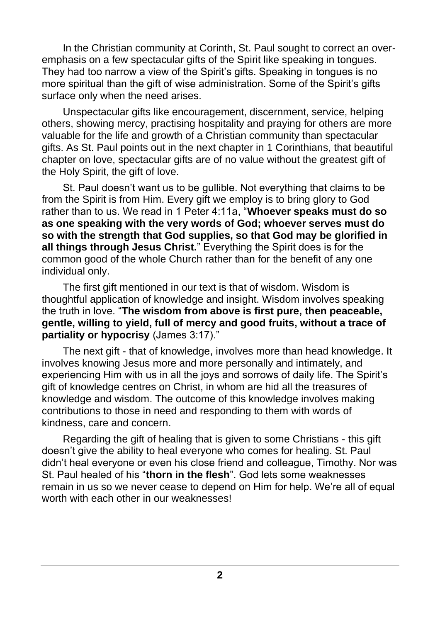In the Christian community at Corinth, St. Paul sought to correct an overemphasis on a few spectacular gifts of the Spirit like speaking in tongues. They had too narrow a view of the Spirit's gifts. Speaking in tongues is no more spiritual than the gift of wise administration. Some of the Spirit's gifts surface only when the need arises.

Unspectacular gifts like encouragement, discernment, service, helping others, showing mercy, practising hospitality and praying for others are more valuable for the life and growth of a Christian community than spectacular gifts. As St. Paul points out in the next chapter in 1 Corinthians, that beautiful chapter on love, spectacular gifts are of no value without the greatest gift of the Holy Spirit, the gift of love.

St. Paul doesn't want us to be gullible. Not everything that claims to be from the Spirit is from Him. Every gift we employ is to bring glory to God rather than to us. We read in 1 Peter 4:11a, "**Whoever speaks must do so as one speaking with the very words of God; whoever serves must do so with the strength that God supplies, so that God may be glorified in all things through Jesus Christ.**" Everything the Spirit does is for the common good of the whole Church rather than for the benefit of any one individual only.

The first gift mentioned in our text is that of wisdom. Wisdom is thoughtful application of knowledge and insight. Wisdom involves speaking the truth in love. "**The wisdom from above is first pure, then peaceable, gentle, willing to yield, full of mercy and good fruits, without a trace of partiality or hypocrisy** (James 3:17)."

The next gift - that of knowledge, involves more than head knowledge. It involves knowing Jesus more and more personally and intimately, and experiencing Him with us in all the joys and sorrows of daily life. The Spirit's gift of knowledge centres on Christ, in whom are hid all the treasures of knowledge and wisdom. The outcome of this knowledge involves making contributions to those in need and responding to them with words of kindness, care and concern.

Regarding the gift of healing that is given to some Christians - this gift doesn't give the ability to heal everyone who comes for healing. St. Paul didn't heal everyone or even his close friend and colleague, Timothy. Nor was St. Paul healed of his "**thorn in the flesh**". God lets some weaknesses remain in us so we never cease to depend on Him for help. We're all of equal worth with each other in our weaknesses!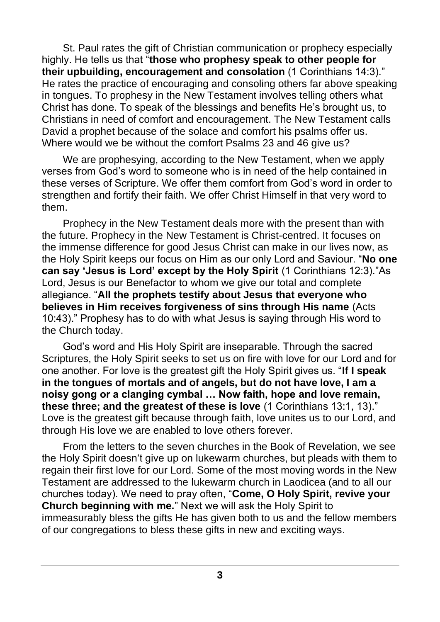St. Paul rates the gift of Christian communication or prophecy especially highly. He tells us that "**those who prophesy speak to other people for their upbuilding, encouragement and consolation** (1 Corinthians 14:3)." He rates the practice of encouraging and consoling others far above speaking in tongues. To prophesy in the New Testament involves telling others what Christ has done. To speak of the blessings and benefits He's brought us, to Christians in need of comfort and encouragement. The New Testament calls David a prophet because of the solace and comfort his psalms offer us. Where would we be without the comfort Psalms 23 and 46 give us?

We are prophesying, according to the New Testament, when we apply verses from God's word to someone who is in need of the help contained in these verses of Scripture. We offer them comfort from God's word in order to strengthen and fortify their faith. We offer Christ Himself in that very word to them.

Prophecy in the New Testament deals more with the present than with the future. Prophecy in the New Testament is Christ-centred. It focuses on the immense difference for good Jesus Christ can make in our lives now, as the Holy Spirit keeps our focus on Him as our only Lord and Saviour. "**No one can say 'Jesus is Lord' except by the Holy Spirit** (1 Corinthians 12:3)."As Lord, Jesus is our Benefactor to whom we give our total and complete allegiance. "**All the prophets testify about Jesus that everyone who believes in Him receives forgiveness of sins through His name** (Acts 10:43)." Prophesy has to do with what Jesus is saying through His word to the Church today.

God's word and His Holy Spirit are inseparable. Through the sacred Scriptures, the Holy Spirit seeks to set us on fire with love for our Lord and for one another. For love is the greatest gift the Holy Spirit gives us. "**If I speak in the tongues of mortals and of angels, but do not have love, I am a noisy gong or a clanging cymbal … Now faith, hope and love remain, these three; and the greatest of these is love** (1 Corinthians 13:1, 13)." Love is the greatest gift because through faith, love unites us to our Lord, and through His love we are enabled to love others forever.

From the letters to the seven churches in the Book of Revelation, we see the Holy Spirit doesn't give up on lukewarm churches, but pleads with them to regain their first love for our Lord. Some of the most moving words in the New Testament are addressed to the lukewarm church in Laodicea (and to all our churches today). We need to pray often, "**Come, O Holy Spirit, revive your Church beginning with me.**" Next we will ask the Holy Spirit to immeasurably bless the gifts He has given both to us and the fellow members of our congregations to bless these gifts in new and exciting ways.